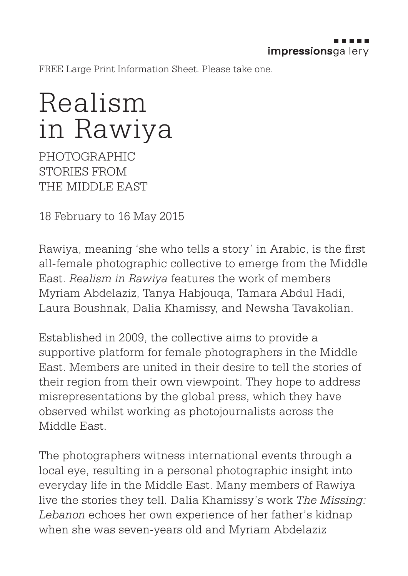FREE Large Print Information Sheet. Please take one.

## Realism in Rawiya

PHOTOGRAPHIC STORIES FROM THE MIDDLE EAST

18 February to 16 May 2015

Rawiya, meaning 'she who tells a story' in Arabic, is the first all-female photographic collective to emerge from the Middle East. *Realism in Rawiya* features the work of members Myriam Abdelaziz, Tanya Habjouqa, Tamara Abdul Hadi, Laura Boushnak, Dalia Khamissy, and Newsha Tavakolian.

Established in 2009, the collective aims to provide a supportive platform for female photographers in the Middle East. Members are united in their desire to tell the stories of their region from their own viewpoint. They hope to address misrepresentations by the global press, which they have observed whilst working as photojournalists across the Middle East.

The photographers witness international events through a local eye, resulting in a personal photographic insight into everyday life in the Middle East. Many members of Rawiya live the stories they tell. Dalia Khamissy's work *The Missing: Lebanon* echoes her own experience of her father's kidnap when she was seven-years old and Myriam Abdelaziz